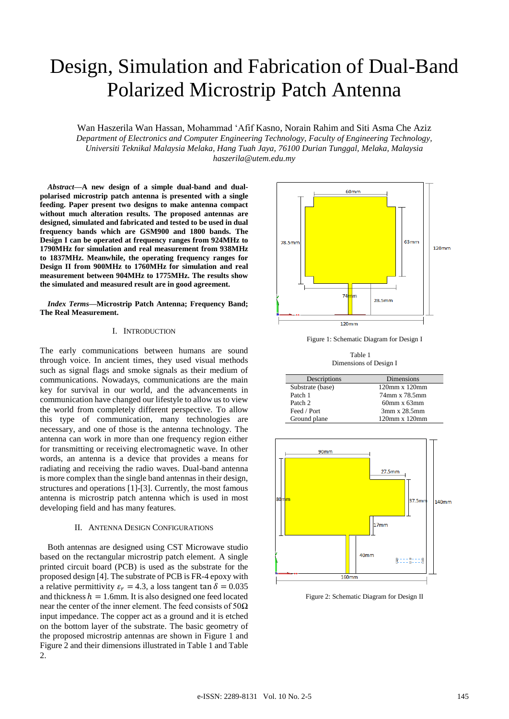# Design, Simulation and Fabrication of Dual-Band Polarized Microstrip Patch Antenna

Wan Haszerila Wan Hassan, Mohammad 'Afif Kasno, Norain Rahim and Siti Asma Che Aziz *Department of Electronics and Computer Engineering Technology, Faculty of Engineering Technology, Universiti Teknikal Malaysia Melaka, Hang Tuah Jaya, 76100 Durian Tunggal, Melaka, Malaysia haszerila@utem.edu.my*

*Abstract***—A new design of a simple dual-band and dualpolarised microstrip patch antenna is presented with a single feeding. Paper present two designs to make antenna compact without much alteration results. The proposed antennas are designed, simulated and fabricated and tested to be used in dual frequency bands which are GSM900 and 1800 bands. The Design I can be operated at frequency ranges from 924MHz to 1790MHz for simulation and real measurement from 938MHz to 1837MHz. Meanwhile, the operating frequency ranges for Design II from 900MHz to 1760MHz for simulation and real measurement between 904MHz to 1775MHz. The results show the simulated and measured result are in good agreement.**

#### *Index Terms***—Microstrip Patch Antenna; Frequency Band; The Real Measurement.**

## I. INTRODUCTION

The early communications between humans are sound through voice. In ancient times, they used visual methods such as signal flags and smoke signals as their medium of communications. Nowadays, communications are the main key for survival in our world, and the advancements in communication have changed our lifestyle to allow us to view the world from completely different perspective. To allow this type of communication, many technologies are necessary, and one of those is the antenna technology. The antenna can work in more than one frequency region either for transmitting or receiving electromagnetic wave. In other words, an antenna is a device that provides a means for radiating and receiving the radio waves. Dual-band antenna is more complex than the single band antennas in their design, structures and operations [1]-[3]. Currently, the most famous antenna is microstrip patch antenna which is used in most developing field and has many features.

## II. ANTENNA DESIGN CONFIGURATIONS

Both antennas are designed using CST Microwave studio based on the rectangular microstrip patch element. A single printed circuit board (PCB) is used as the substrate for the proposed design [4]. The substrate of PCB is FR-4 epoxy with a relative permittivity  $\varepsilon_r = 4.3$ , a loss tangent tan  $\delta = 0.035$ and thickness  $h = 1.6$ mm. It is also designed one feed located near the center of the inner element. The feed consists of  $50\Omega$ input impedance. The copper act as a ground and it is etched on the bottom layer of the substrate. The basic geometry of the proposed microstrip antennas are shown in Figure 1 and Figure 2 and their dimensions illustrated in Table 1 and Table 2.



Figure 1: Schematic Diagram for Design I

Table 1 Dimensions of Design I

| Descriptions     | Dimensions          |
|------------------|---------------------|
| Substrate (base) | $120$ mm x $120$ mm |
| Patch 1          | 74mm x 78.5mm       |
| Patch 2          | $60$ mm x $63$ mm   |
| Feed / Port      | 3mm x 28.5mm        |
| Ground plane     | $120$ mm x $120$ mm |



Figure 2: Schematic Diagram for Design II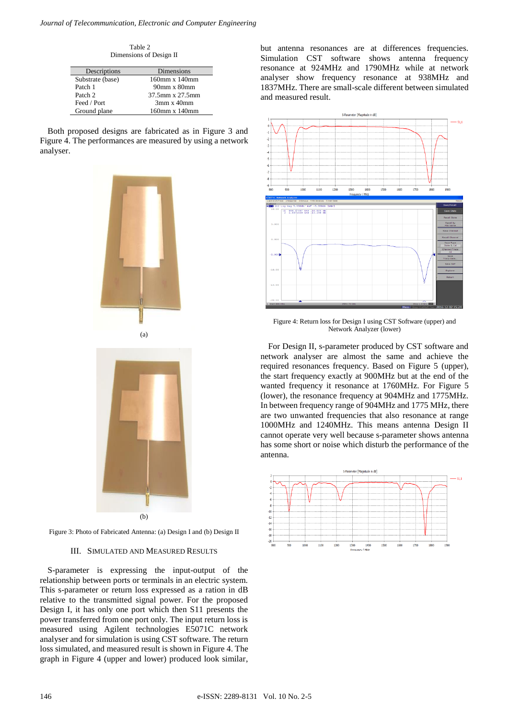Table 2 Dimensions of Design II

| Descriptions     | Dimensions                          |
|------------------|-------------------------------------|
| Substrate (base) | 160mm x 140mm                       |
| Patch 1          | 90 <sub>mm</sub> x 80 <sub>mm</sub> |
| Patch 2          | 37.5mm x 27.5mm                     |
| Feed / Port      | $3mm \times 40mm$                   |
| Ground plane     | 160mm x 140mm                       |

Both proposed designs are fabricated as in Figure 3 and Figure 4. The performances are measured by using a network analyser.





Figure 3: Photo of Fabricated Antenna: (a) Design I and (b) Design II

#### III. SIMULATED AND MEASURED RESULTS

S-parameter is expressing the input-output of the relationship between ports or terminals in an electric system. This s-parameter or return loss expressed as a ration in dB relative to the transmitted signal power. For the proposed Design I, it has only one port which then S11 presents the power transferred from one port only. The input return loss is measured using Agilent technologies E5071C network analyser and for simulation is using CST software. The return loss simulated, and measured result is shown in Figure 4. The graph in Figure 4 (upper and lower) produced look similar, but antenna resonances are at differences frequencies. Simulation CST software shows antenna frequency resonance at 924MHz and 1790MHz while at network analyser show frequency resonance at 938MHz and 1837MHz. There are small-scale different between simulated and measured result.



Figure 4: Return loss for Design I using CST Software (upper) and Network Analyzer (lower)

For Design II, s-parameter produced by CST software and network analyser are almost the same and achieve the required resonances frequency. Based on Figure 5 (upper), the start frequency exactly at 900MHz but at the end of the wanted frequency it resonance at 1760MHz. For Figure 5 (lower), the resonance frequency at 904MHz and 1775MHz. In between frequency range of 904MHz and 1775 MHz, there are two unwanted frequencies that also resonance at range 1000MHz and 1240MHz. This means antenna Design II cannot operate very well because s-parameter shows antenna has some short or noise which disturb the performance of the antenna.

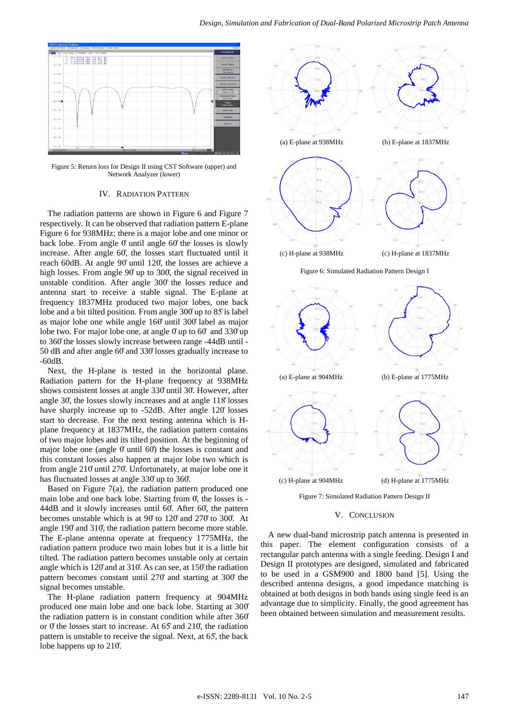

Figure 5: Return loss for Design II using CST Software (upper) and Network Analyzer (lower)

#### IV. RADIATION PATTERN

The radiation patterns are shown in Figure 6 and Figure 7 respectively. It can be observed that radiation pattern E-plane Figure 6 for 938MHz; there is a major lobe and one minor or back lobe. From angle 0° until angle 60° the losses is slowly increase. After angle 60̊, the losses start fluctuated until it reach 60dB. At angle 90̊ until 120̊, the losses are achieve a high losses. From angle 90° up to 300°, the signal received in unstable condition. After angle 300̊ the losses reduce and antenna start to receive a stable signal. The E-plane at frequency 1837MHz produced two major lobes, one back lobe and a bit tilted position. From angle 300̊up to 85̊is label as major lobe one while angle 160̊ until 300̊ label as major lobe two. For major lobe one, at angle  $0<sup>o</sup>$  up to  $60<sup>o</sup>$  and  $330<sup>o</sup>$ up to 360̊the losses slowly increase between range -44dB until - 50 dB and after angle 60̊and 330̊losses gradually increase to -60dB.

Next, the H-plane is tested in the horizontal plane. Radiation pattern for the H-plane frequency at 938MHz shows consistent losses at angle 330̊until 30̊. However, after angle 30̊, the losses slowly increases and at angle 118̊losses have sharply increase up to -52dB. After angle 120̊ losses start to decrease. For the next testing antenna which is Hplane frequency at 1837MHz, the radiation pattern contains of two major lobes and its tilted position. At the beginning of major lobe one (angle  $\theta$  until 60°) the losses is constant and this constant losses also happen at major lobe two which is from angle 210̊until 270̊. Unfortunately, at major lobe one it has fluctuated losses at angle 330̊up to 360̊.

Based on Figure  $7(a)$ , the radiation pattern produced one main lobe and one back lobe. Starting from  $\theta$ , the losses is -44dB and it slowly increases until 60̊. After 60̊, the pattern becomes unstable which is at 90̊to 120̊ and 270̊to 300̊. At angle 190̊and 310̊, the radiation pattern become more stable. The E-plane antenna operate at frequency 1775MHz, the radiation pattern produce two main lobes but it is a little bit tilted. The radiation pattern becomes unstable only at certain angle which is 120̊and at 310̊. As can see, at 150̊the radiation pattern becomes constant until 270̊ and starting at 300̊ the signal becomes unstable.

The H-plane radiation pattern frequency at 904MHz produced one main lobe and one back lobe. Starting at 300̊ the radiation pattern is in constant condition while after 360̊ or  $0^\circ$  the losses start to increase. At 65° and 210°, the radiation pattern is unstable to receive the signal. Next, at 65̊, the back lobe happens up to 210̊.





Figure 7: Simulated Radiation Pattern Design II

#### V. CONCLUSION

A new dual-band microstrip patch antenna is presented in this paper. The element configuration consists of a rectangular patch antenna with a single feeding. Design I and Design II prototypes are designed, simulated and fabricated to be used in a GSM900 and 1800 band [5]. Using the described antenna designs, a good impedance matching is obtained at both designs in both bands using single feed is an advantage due to simplicity. Finally, the good agreement has been obtained between simulation and measurement results.